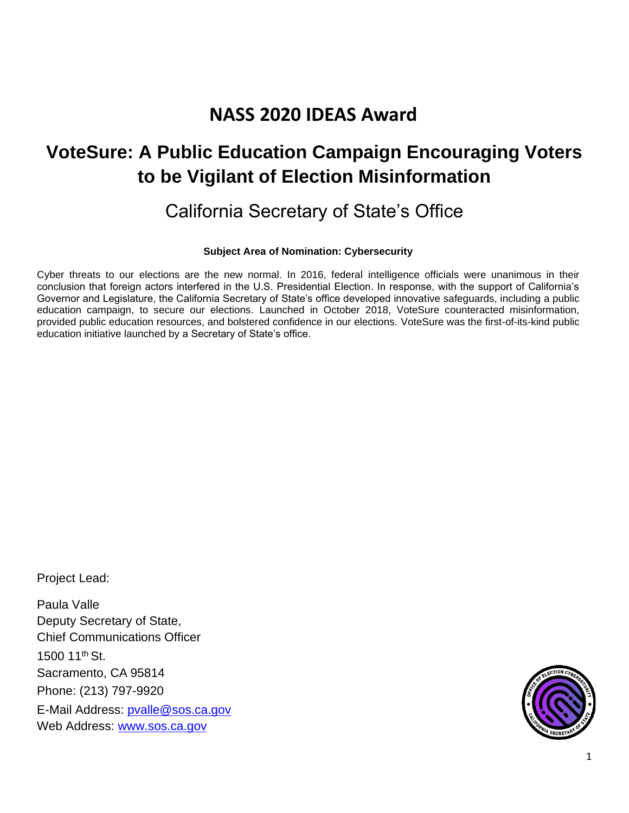# **NASS 2020 IDEAS Award**

# **VoteSure: A Public Education Campaign Encouraging Voters to be Vigilant of Election Misinformation**

## California Secretary of State's Office

## **Subject Area of Nomination: Cybersecurity**

Cyber threats to our elections are the new normal. In 2016, federal intelligence officials were unanimous in their conclusion that foreign actors interfered in the U.S. Presidential Election. In response, with the support of California's Governor and Legislature, the California Secretary of State's office developed innovative safeguards, including a public education campaign, to secure our elections. Launched in October 2018, VoteSure counteracted misinformation, provided public education resources, and bolstered confidence in our elections. VoteSure was the first-of-its-kind public education initiative launched by a Secretary of State's office.

Project Lead:

Paula Valle Deputy Secretary of State, Chief Communications Officer 1500 11th St. Sacramento, CA 95814 Phone: (213) 797-9920 E-Mail Address: [pvalle@sos.ca.gov](mailto:pvalle@sos.ca.gov) Web Address: [www.sos.ca.gov](http://www.sos.ca.gov/)

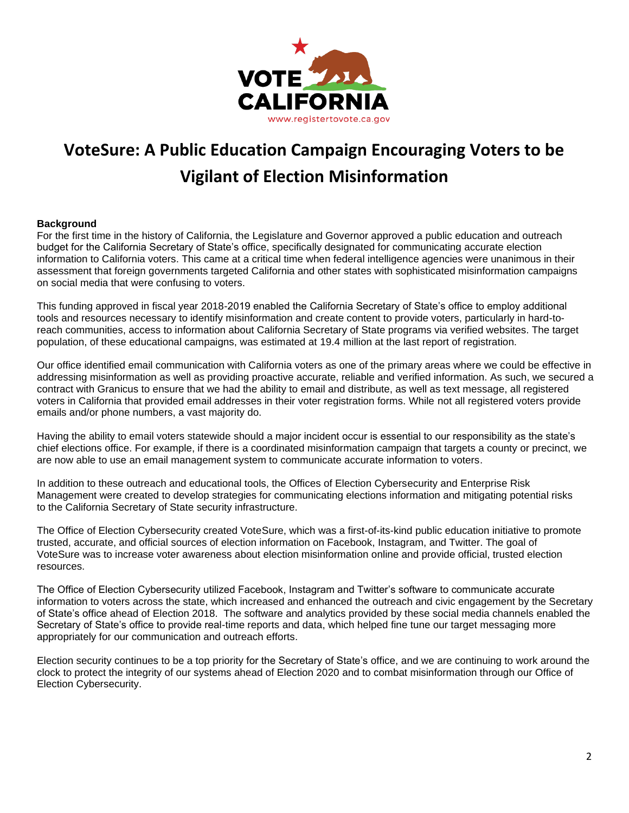

# **VoteSure: A Public Education Campaign Encouraging Voters to be Vigilant of Election Misinformation**

## **Background**

For the first time in the history of California, the Legislature and Governor approved a public education and outreach budget for the California Secretary of State's office, specifically designated for communicating accurate election information to California voters. This came at a critical time when federal intelligence agencies were unanimous in their assessment that foreign governments targeted California and other states with sophisticated misinformation campaigns on social media that were confusing to voters.

This funding approved in fiscal year 2018-2019 enabled the California Secretary of State's office to employ additional tools and resources necessary to identify misinformation and create content to provide voters, particularly in hard-toreach communities, access to information about California Secretary of State programs via verified websites. The target population, of these educational campaigns, was estimated at 19.4 million at the last report of registration.

Our office identified email communication with California voters as one of the primary areas where we could be effective in addressing misinformation as well as providing proactive accurate, reliable and verified information. As such, we secured a contract with Granicus to ensure that we had the ability to email and distribute, as well as text message, all registered voters in California that provided email addresses in their voter registration forms. While not all registered voters provide emails and/or phone numbers, a vast majority do.

Having the ability to email voters statewide should a major incident occur is essential to our responsibility as the state's chief elections office. For example, if there is a coordinated misinformation campaign that targets a county or precinct, we are now able to use an email management system to communicate accurate information to voters.

In addition to these outreach and educational tools, the Offices of Election Cybersecurity and Enterprise Risk Management were created to develop strategies for communicating elections information and mitigating potential risks to the California Secretary of State security infrastructure.

The Office of Election Cybersecurity created VoteSure, which was a first-of-its-kind public education initiative to promote trusted, accurate, and official sources of election information on Facebook, Instagram, and Twitter. The goal of VoteSure was to increase voter awareness about election misinformation online and provide official, trusted election resources.

The Office of Election Cybersecurity utilized Facebook, Instagram and Twitter's software to communicate accurate information to voters across the state, which increased and enhanced the outreach and civic engagement by the Secretary of State's office ahead of Election 2018. The software and analytics provided by these social media channels enabled the Secretary of State's office to provide real-time reports and data, which helped fine tune our target messaging more appropriately for our communication and outreach efforts.

Election security continues to be a top priority for the Secretary of State's office, and we are continuing to work around the clock to protect the integrity of our systems ahead of Election 2020 and to combat misinformation through our Office of Election Cybersecurity.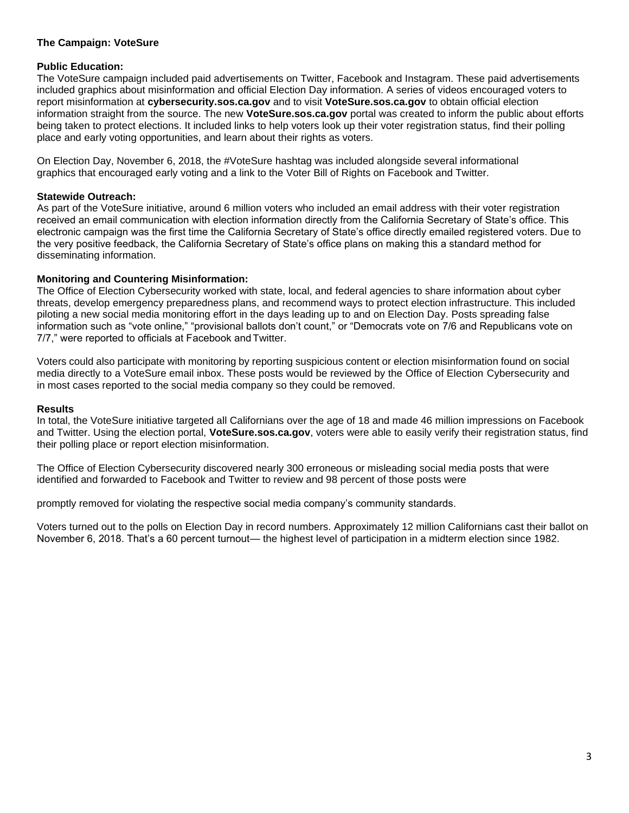## **The Campaign: VoteSure**

## **Public Education:**

The VoteSure campaign included paid advertisements on Twitter, Facebook and Instagram. These paid advertisements included graphics about misinformation and official Election Day information. A series of videos encouraged voters to report misinformation at **cybersecurity.sos.ca.gov** and to visit **VoteSure.sos.ca.gov** to obtain official election information straight from the source. The new **[VoteSure.sos.ca.gov](http://votesure.sos.ca.gov/)** portal was created to inform the public about efforts being taken to protect elections. It included links to help voters look up their voter registration status, find their polling place and early voting opportunities, and learn about their rights as voters.

On Election Day, November 6, 2018, the #VoteSure hashtag was included alongside several informational graphics that encouraged early voting and a link to the Voter Bill of Rights on Facebook and Twitter.

### **Statewide Outreach:**

As part of the VoteSure initiative, around 6 million voters who included an email address with their voter registration received an email communication with election information directly from the California Secretary of State's office. This electronic campaign was the first time the California Secretary of State's office directly emailed registered voters. Due to the very positive feedback, the California Secretary of State's office plans on making this a standard method for disseminating information.

## **Monitoring and Countering Misinformation:**

The Office of Election Cybersecurity worked with state, local, and federal agencies to share information about cyber threats, develop emergency preparedness plans, and recommend ways to protect election infrastructure. This included piloting a new social media monitoring effort in the days leading up to and on Election Day. Posts spreading false information such as "vote online," "provisional ballots don't count," or "Democrats vote on 7/6 and Republicans vote on 7/7," were reported to officials at Facebook andTwitter.

Voters could also participate with monitoring by reporting suspicious content or election misinformation found on social media directly to a VoteSure email inbox. These posts would be reviewed by the Office of Election Cybersecurity and in most cases reported to the social media company so they could be removed.

### **Results**

In total, the VoteSure initiative targeted all Californians over the age of 18 and made 46 million impressions on Facebook and Twitter. Using the election portal, **VoteSure.sos.ca.gov**, voters were able to easily verify their registration status, find their polling place or report election misinformation.

The Office of Election Cybersecurity discovered nearly 300 erroneous or misleading social media posts that were identified and forwarded to Facebook and Twitter to review and 98 percent of those posts were

promptly removed for violating the respective social media company's community standards.

Voters turned out to the polls on Election Day in record numbers. Approximately 12 million Californians cast their ballot on November 6, 2018. That's a 60 percent turnout— the highest level of participation in a midterm election since 1982.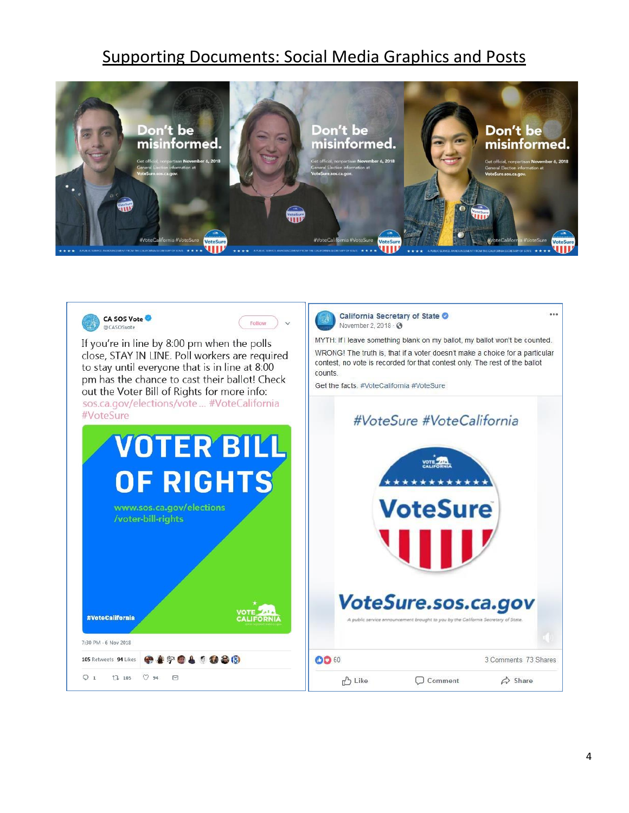## Supporting Documents: Social Media Graphics and Posts



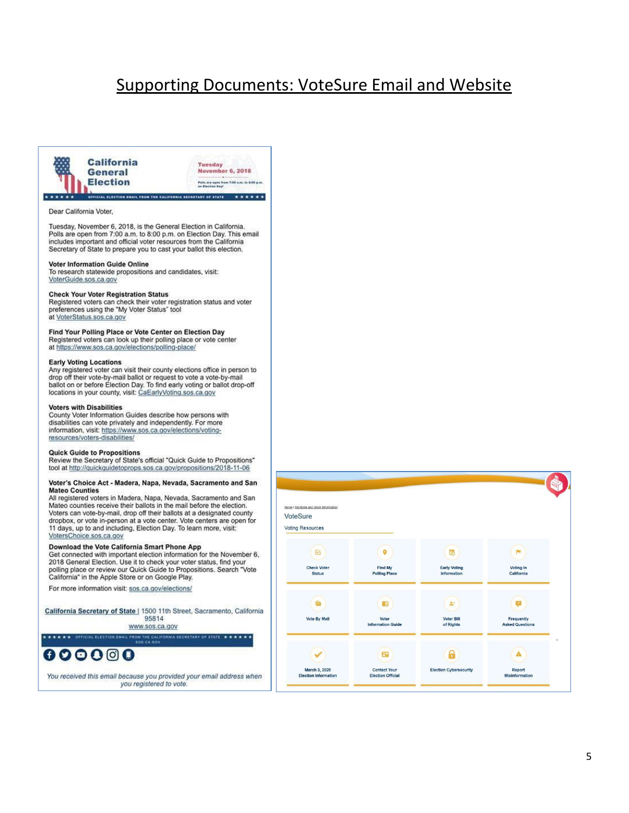## **Supporting Documents: VoteSure Email and Website**



#### Dear California Voter,

Tuesday, November 6, 2018, is the General Election in California. Polls are open from 7:00 a.m. to 8:00 p.m. on Election Day. This email includes important and official voter resources from the California Secretary of State to prepare you to cast your ballot this election.

#### **Voter Information Guide Online**

To research statewide propositions and candidates, visit: VoterGuide.sos.ca.gov

#### **Check Your Voter Registration Status**

Registered voters can check their voter registration status and voter preferences using the "My Voter Status" tool at VoterStatus.sos.ca.gov

#### Find Your Polling Place or Vote Center on Election Day

Registered voters can look up their polling place or vote center at https://www.sos.ca.gov/elections/polling-place/

#### **Early Voting Locations**

Any registered voter can visit their county elections office in person to drop off their vote-by-mail ballot or request to vote a vote-by-mail ballot on or before Election Day. To find early voting or ballot drop-off locations in your county, visit: CaEarlyVoting.sos.ca.gov

#### **Voters with Disabilities**

County Voter Information Guides describe how persons with disabilities can vote privately and independently. For more information, visit: https://www.sos.ca.gov/elections/votingresources/voters-disabilities/

#### **Quick Guide to Propositions**

Review the Secretary of State's official "Quick Guide to Propositions" tool at http://quickguidetoprops.sos.ca.gov/propositions/2018-11-06

#### Voter's Choice Act - Madera, Napa, Nevada, Sacramento and San **Mateo Counties**

All registered voters in Madera, Napa, Nevada, Sacramento and San Mateo counties receive their ballots in the mail before the election. Voters can vote-by-mail, drop off their ballots at a designated county dropbox, or vote in-person at a vote center. Vote centers are open for 11 days, up to and including, Election Day. To learn more, visit: VotersChoice.sos.ca.gov

#### Download the Vote California Smart Phone App

Connected with important election information for the November 6,<br>2018 General Election. Use it to check your voter status, find your polling place or review our Quick Guide to Propositions. Search "Vote California" in the Apple Store or on Google Play.

For more information visit: sos.ca.gov/elections/

California Secretary of State | 1500 11th Street, Sacramento, California 95814

www.sos.ca.gov

A SECRETARY OF STATE + + + + + +

 $000000$ 

You received this email because you provided your email address when you registered to vote.